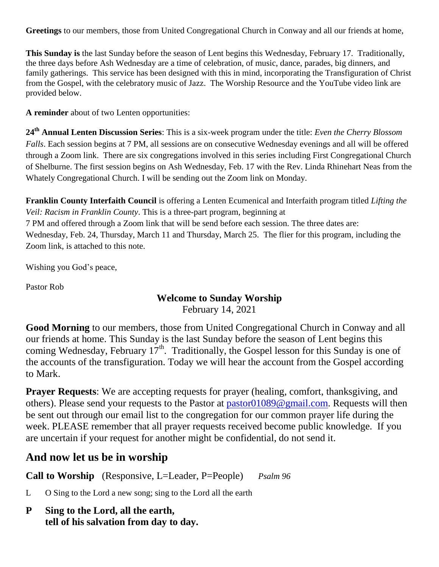**Greetings** to our members, those from United Congregational Church in Conway and all our friends at home,

**This Sunday is** the last Sunday before the season of Lent begins this Wednesday, February 17. Traditionally, the three days before Ash Wednesday are a time of celebration, of music, dance, parades, big dinners, and family gatherings. This service has been designed with this in mind, incorporating the Transfiguration of Christ from the Gospel, with the celebratory music of Jazz. The Worship Resource and the YouTube video link are provided below.

**A reminder** about of two Lenten opportunities:

**24th Annual Lenten Discussion Series**: This is a six-week program under the title: *Even the Cherry Blossom Falls*. Each session begins at 7 PM, all sessions are on consecutive Wednesday evenings and all will be offered through a Zoom link. There are six congregations involved in this series including First Congregational Church of Shelburne. The first session begins on Ash Wednesday, Feb. 17 with the Rev. Linda Rhinehart Neas from the Whately Congregational Church. I will be sending out the Zoom link on Monday.

**Franklin County Interfaith Council** is offering a Lenten Ecumenical and Interfaith program titled *Lifting the Veil: Racism in Franklin County*. This is a three-part program, beginning at

7 PM and offered through a Zoom link that will be send before each session. The three dates are:

Wednesday, Feb. 24, Thursday, March 11 and Thursday, March 25. The flier for this program, including the Zoom link, is attached to this note.

Wishing you God's peace,

Pastor Rob

# **Welcome to Sunday Worship**

February 14, 2021

**Good Morning** to our members, those from United Congregational Church in Conway and all our friends at home. This Sunday is the last Sunday before the season of Lent begins this coming Wednesday, February 17<sup>th</sup>. Traditionally, the Gospel lesson for this Sunday is one of the accounts of the transfiguration. Today we will hear the account from the Gospel according to Mark.

**Prayer Requests:** We are accepting requests for prayer (healing, comfort, thanksgiving, and others). Please send your requests to the Pastor at [pastor01089@gmail.com.](mailto:pastor01089@gmail.com) Requests will then be sent out through our email list to the congregation for our common prayer life during the week. PLEASE remember that all prayer requests received become public knowledge. If you are uncertain if your request for another might be confidential, do not send it.

## **And now let us be in worship**

**Call to Worship** (Responsive, L=Leader, P=People) *Psalm 96*

L O Sing to the Lord a new song; sing to the Lord all the earth

**P Sing to the Lord, all the earth, tell of his salvation from day to day.**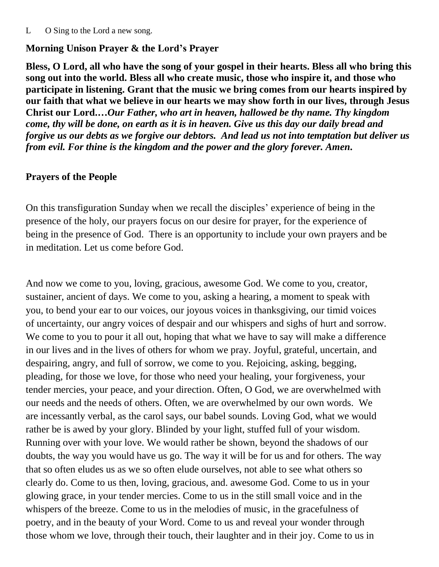#### L O Sing to the Lord a new song.

#### **Morning Unison Prayer & the Lord's Prayer**

**Bless, O Lord, all who have the song of your gospel in their hearts. Bless all who bring this song out into the world. Bless all who create music, those who inspire it, and those who participate in listening. Grant that the music we bring comes from our hearts inspired by our faith that what we believe in our hearts we may show forth in our lives, through Jesus Christ our Lord.…***Our Father, who art in heaven, hallowed be thy name. Thy kingdom come, thy will be done, on earth as it is in heaven. Give us this day our daily bread and forgive us our debts as we forgive our debtors. And lead us not into temptation but deliver us from evil. For thine is the kingdom and the power and the glory forever. Amen.*

#### **Prayers of the People**

On this transfiguration Sunday when we recall the disciples' experience of being in the presence of the holy, our prayers focus on our desire for prayer, for the experience of being in the presence of God. There is an opportunity to include your own prayers and be in meditation. Let us come before God.

And now we come to you, loving, gracious, awesome God. We come to you, creator, sustainer, ancient of days. We come to you, asking a hearing, a moment to speak with you, to bend your ear to our voices, our joyous voices in thanksgiving, our timid voices of uncertainty, our angry voices of despair and our whispers and sighs of hurt and sorrow. We come to you to pour it all out, hoping that what we have to say will make a difference in our lives and in the lives of others for whom we pray. Joyful, grateful, uncertain, and despairing, angry, and full of sorrow, we come to you. Rejoicing, asking, begging, pleading, for those we love, for those who need your healing, your forgiveness, your tender mercies, your peace, and your direction. Often, O God, we are overwhelmed with our needs and the needs of others. Often, we are overwhelmed by our own words. We are incessantly verbal, as the carol says, our babel sounds. Loving God, what we would rather be is awed by your glory. Blinded by your light, stuffed full of your wisdom. Running over with your love. We would rather be shown, beyond the shadows of our doubts, the way you would have us go. The way it will be for us and for others. The way that so often eludes us as we so often elude ourselves, not able to see what others so clearly do. Come to us then, loving, gracious, and. awesome God. Come to us in your glowing grace, in your tender mercies. Come to us in the still small voice and in the whispers of the breeze. Come to us in the melodies of music, in the gracefulness of poetry, and in the beauty of your Word. Come to us and reveal your wonder through those whom we love, through their touch, their laughter and in their joy. Come to us in